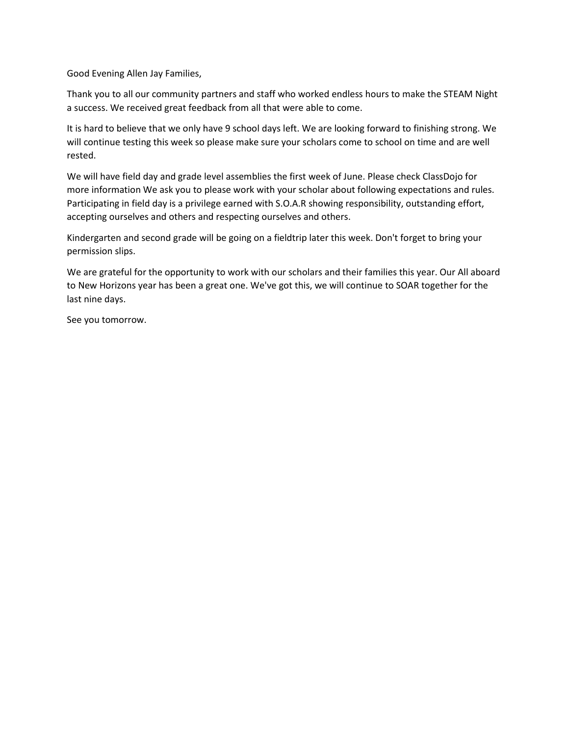Good Evening Allen Jay Families,

Thank you to all our community partners and staff who worked endless hours to make the STEAM Night a success. We received great feedback from all that were able to come.

It is hard to believe that we only have 9 school days left. We are looking forward to finishing strong. We will continue testing this week so please make sure your scholars come to school on time and are well rested.

We will have field day and grade level assemblies the first week of June. Please check ClassDojo for more information We ask you to please work with your scholar about following expectations and rules. Participating in field day is a privilege earned with S.O.A.R showing responsibility, outstanding effort, accepting ourselves and others and respecting ourselves and others.

Kindergarten and second grade will be going on a fieldtrip later this week. Don't forget to bring your permission slips.

We are grateful for the opportunity to work with our scholars and their families this year. Our All aboard to New Horizons year has been a great one. We've got this, we will continue to SOAR together for the last nine days.

See you tomorrow.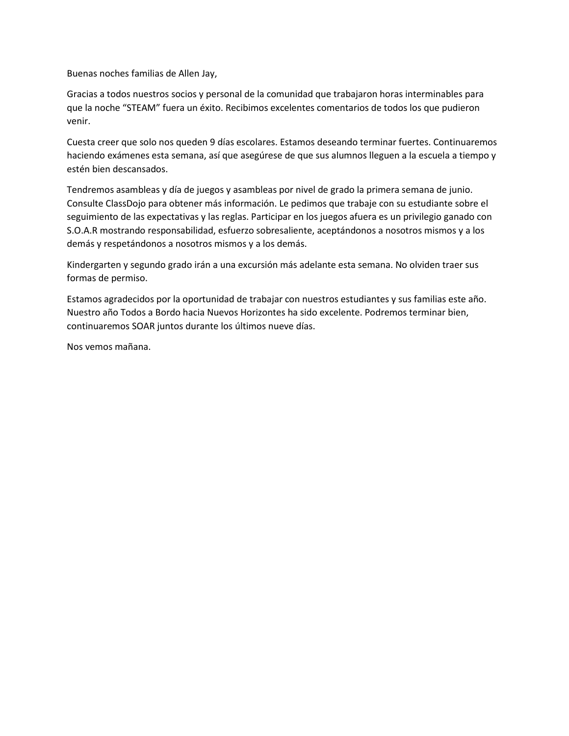Buenas noches familias de Allen Jay,

Gracias a todos nuestros socios y personal de la comunidad que trabajaron horas interminables para que la noche "STEAM" fuera un éxito. Recibimos excelentes comentarios de todos los que pudieron venir.

Cuesta creer que solo nos queden 9 días escolares. Estamos deseando terminar fuertes. Continuaremos haciendo exámenes esta semana, así que asegúrese de que sus alumnos lleguen a la escuela a tiempo y estén bien descansados.

Tendremos asambleas y día de juegos y asambleas por nivel de grado la primera semana de junio. Consulte ClassDojo para obtener más información. Le pedimos que trabaje con su estudiante sobre el seguimiento de las expectativas y las reglas. Participar en los juegos afuera es un privilegio ganado con S.O.A.R mostrando responsabilidad, esfuerzo sobresaliente, aceptándonos a nosotros mismos y a los demás y respetándonos a nosotros mismos y a los demás.

Kindergarten y segundo grado irán a una excursión más adelante esta semana. No olviden traer sus formas de permiso.

Estamos agradecidos por la oportunidad de trabajar con nuestros estudiantes y sus familias este año. Nuestro año Todos a Bordo hacia Nuevos Horizontes ha sido excelente. Podremos terminar bien, continuaremos SOAR juntos durante los últimos nueve días.

Nos vemos mañana.